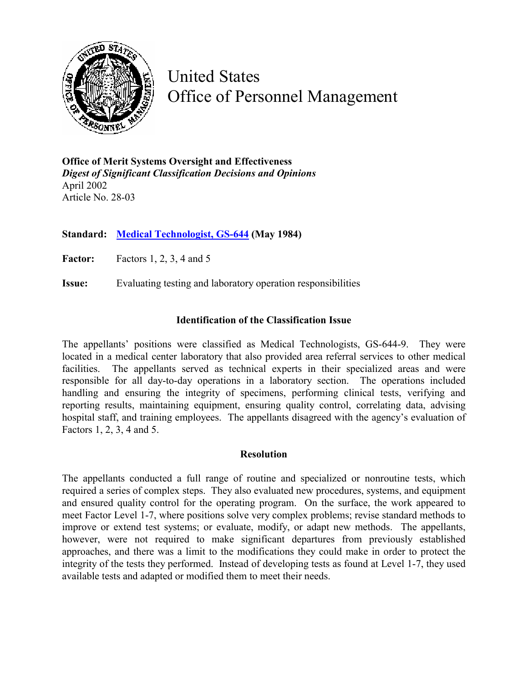

United States Office of Personnel Management

**Office of Merit Systems Oversight and Effectiveness**  *Digest of Significant Classification Decisions and Opinions* April 2002 Article No. 28-03

**Standard: [Medical Technologist, GS-644](http://www.opm.gov/fedclass/gs0644.pdf) (May 1984)**

**Factor:** Factors 1, 2, 3, 4 and 5

**Issue:** Evaluating testing and laboratory operation responsibilities

## **Identification of the Classification Issue**

The appellants' positions were classified as Medical Technologists, GS-644-9. They were located in a medical center laboratory that also provided area referral services to other medical facilities. The appellants served as technical experts in their specialized areas and were responsible for all day-to-day operations in a laboratory section. The operations included handling and ensuring the integrity of specimens, performing clinical tests, verifying and reporting results, maintaining equipment, ensuring quality control, correlating data, advising hospital staff, and training employees. The appellants disagreed with the agency's evaluation of Factors 1, 2, 3, 4 and 5.

## **Resolution**

The appellants conducted a full range of routine and specialized or nonroutine tests, which required a series of complex steps. They also evaluated new procedures, systems, and equipment and ensured quality control for the operating program. On the surface, the work appeared to meet Factor Level 1-7, where positions solve very complex problems; revise standard methods to improve or extend test systems; or evaluate, modify, or adapt new methods. The appellants, however, were not required to make significant departures from previously established approaches, and there was a limit to the modifications they could make in order to protect the integrity of the tests they performed. Instead of developing tests as found at Level 1-7, they used available tests and adapted or modified them to meet their needs.